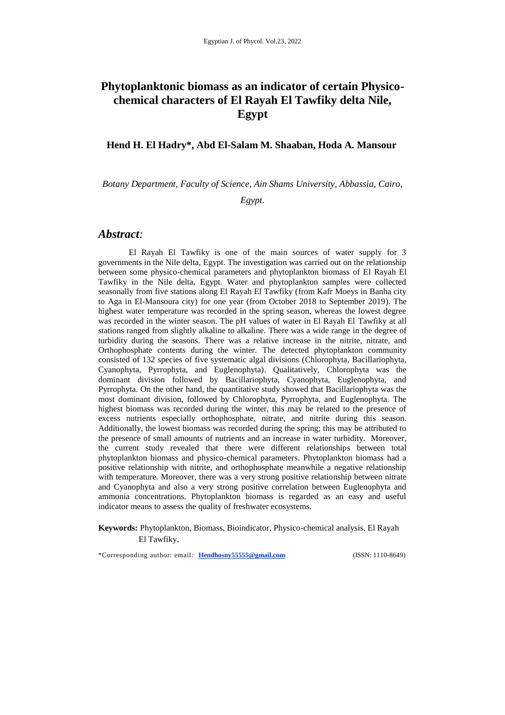# **Phytoplanktonic biomass as an indicator of certain Physicochemical characters of El Rayah El Tawfiky delta Nile, Egypt**

#### **Hend H. El Hadry\*, Abd El-Salam M. Shaaban, Hoda A. Mansour**

*Botany Department, Faculty of Science, Ain Shams University, Abbassia, Cairo,* 

*Egypt.*

### *Abstract:*

El Rayah El Tawfiky is one of the main sources of water supply for 3 governments in the Nile delta, Egypt. The investigation was carried out on the relationship between some physico-chemical parameters and phytoplankton biomass of El Rayah El Tawfiky in the Nile delta, Egypt. Water and phytoplankton samples were collected seasonally from five stations along El Rayah El Tawfiky (from Kafr Moeys in Banha city to Aga in El-Mansoura city) for one year (from October 2018 to September 2019). The highest water temperature was recorded in the spring season, whereas the lowest degree was recorded in the winter season. The pH values of water in El Rayah El Tawfiky at all stations ranged from slightly alkaline to alkaline. There was a wide range in the degree of turbidity during the seasons. There was a relative increase in the nitrite, nitrate, and Orthophosphate contents during the winter. The detected phytoplankton community consisted of 132 species of five systematic algal divisions (Chlorophyta, Bacillariophyta, Cyanophyta, Pyrrophyta, and Euglenophyta). Qualitatively, Chlorophyta was the dominant division followed by Bacillariophyta, Cyanophyta, Euglenophyta, and Pyrrophyta. On the other hand, the quantitative study showed that Bacillariophyta was the most dominant division, followed by Chlorophyta, Pyrrophyta, and Euglenophyta. The highest biomass was recorded during the winter, this may be related to the presence of excess nutrients especially orthophosphate, nitrate, and nitrite during this season. Additionally, the lowest biomass was recorded during the spring; this may be attributed to the presence of small amounts of nutrients and an increase in water turbidity. Moreover, the current study revealed that there were different relationships between total phytoplankton biomass and physico-chemical parameters. Phytoplankton biomass had a positive relationship with nitrite, and orthophosphate meanwhile a negative relationship with temperature. Moreover, there was a very strong positive relationship between nitrate and Cyanophyta and also a very strong positive correlation between Euglenophyta and ammonia concentrations. Phytoplankton biomass is regarded as an easy and useful indicator means to assess the quality of freshwater ecosystems.

**Keywords:** Phytoplankton, Biomass, Bioindicator, Physico-chemical analysis, El Rayah El Tawfiky.

\*Corresponding author: email*:* **[Hendhosny55555@gmail.com](mailto:Hendhosny55555@gmail.com)** (ISSN: 1110-8649)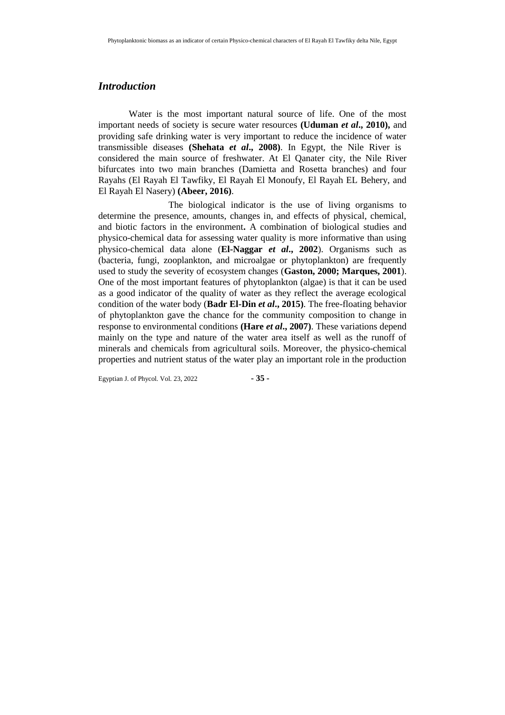### *Introduction*

Water is the most important natural source of life. One of the most important needs of society is secure water resources **(Uduman** *et al***., 2010),** and providing safe drinking water is very important to reduce the incidence of water transmissible diseases **(Shehata** *et al***., 2008)**. In Egypt, the Nile River is considered the main source of freshwater. At El Qanater city, the Nile River bifurcates into two main branches (Damietta and Rosetta branches) and four Rayahs (El Rayah El Tawfiky, El Rayah El Monoufy, El Rayah EL Behery, and El Rayah El Nasery) **(Abeer, 2016)**.

 The biological indicator is the use of living organisms to determine the presence, amounts, changes in, and effects of physical, chemical, and biotic factors in the environment**.** A combination of biological studies and physico-chemical data for assessing water quality is more informative than using physico-chemical data alone (**El-Naggar** *et al***., 2002**). Organisms such as (bacteria, fungi, zooplankton, and microalgae or phytoplankton) are frequently used to study the severity of ecosystem changes (**Gaston, 2000; Marques, 2001**). One of the most important features of phytoplankton (algae) is that it can be used as a good indicator of the quality of water as they reflect the average ecological condition of the water body (**Badr El-Din** *et al***., 2015)**. The free-floating behavior of phytoplankton gave the chance for the community composition to change in response to environmental conditions **(Hare** *et al***., 2007)**. These variations depend mainly on the type and nature of the water area itself as well as the runoff of minerals and chemicals from agricultural soils. Moreover, the physico-chemical properties and nutrient status of the water play an important role in the production

Egyptian J. of Phycol. Vol. 23, 2022 **- 35 -**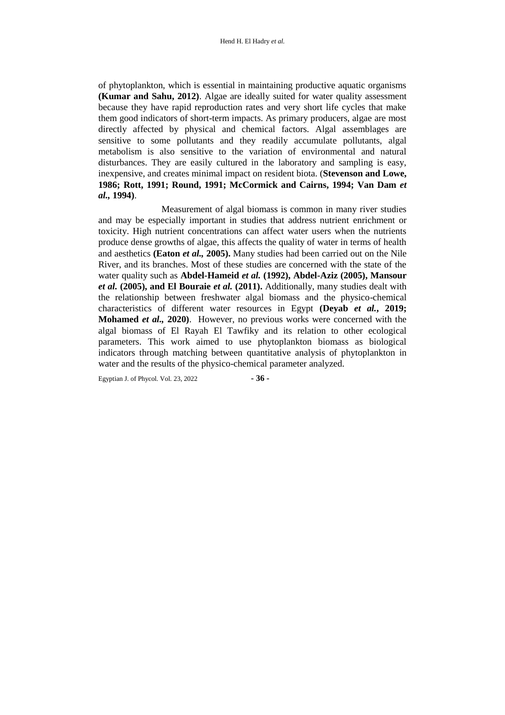of phytoplankton, which is essential in maintaining productive aquatic organisms **(Kumar and Sahu, 2012)**. Algae are ideally suited for water quality assessment because they have rapid reproduction rates and very short life cycles that make them good indicators of short-term impacts. As primary producers, algae are most directly affected by physical and chemical factors. Algal assemblages are sensitive to some pollutants and they readily accumulate pollutants, algal metabolism is also sensitive to the variation of environmental and natural disturbances. They are easily cultured in the laboratory and sampling is easy, inexpensive, and creates minimal impact on resident biota. (**Stevenson and Lowe, 1986; Rott, 1991; Round, 1991; McCormick and Cairns, 1994; Van Dam** *et al.,* **1994)**.

 Measurement of algal biomass is common in many river studies and may be especially important in studies that address nutrient enrichment or toxicity. High nutrient concentrations can affect water users when the nutrients produce dense growths of algae, this affects the quality of water in terms of health and aesthetics **(Eaton** *et al.,* **2005).** Many studies had been carried out on the Nile River, and its branches. Most of these studies are concerned with the state of the water quality such as **Abdel-Hameid** *et al.* **(1992), Abdel-Aziz (2005), Mansour**  *et al.* **(2005), and El Bouraie** *et al.* **(2011).** Additionally, many studies dealt with the relationship between freshwater algal biomass and the physico-chemical characteristics of different water resources in Egypt **(Deyab** *et al.***, 2019; Mohamed** *et al.,* **2020)**. However, no previous works were concerned with the algal biomass of El Rayah El Tawfiky and its relation to other ecological parameters. This work aimed to use phytoplankton biomass as biological indicators through matching between quantitative analysis of phytoplankton in water and the results of the physico-chemical parameter analyzed.

Egyptian J. of Phycol. Vol. 23, 2022 **- 36 -**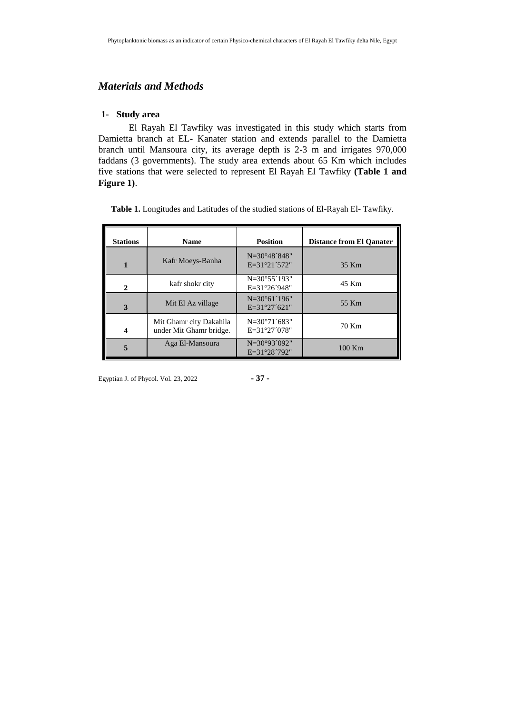## *Materials and Methods*

#### **1- Study area**

El Rayah El Tawfiky was investigated in this study which starts from Damietta branch at EL- Kanater station and extends parallel to the Damietta branch until Mansoura city, its average depth is 2-3 m and irrigates 970,000 faddans (3 governments). The study area extends about 65 Km which includes five stations that were selected to represent El Rayah El Tawfiky **(Table 1 and Figure 1)**.

|  |  |  | Table 1. Longitudes and Latitudes of the studied stations of El-Rayah El-Tawfiky. |
|--|--|--|-----------------------------------------------------------------------------------|
|--|--|--|-----------------------------------------------------------------------------------|

| <b>Stations</b> | <b>Name</b>                                        | <b>Position</b>                                      | <b>Distance from El Qanater</b> |
|-----------------|----------------------------------------------------|------------------------------------------------------|---------------------------------|
|                 | Kafr Moeys-Banha                                   | $N = 30^{\circ}48'848''$<br>$E=31^{\circ}21'572"$    | 35 Km                           |
|                 | kafr shokr city                                    | $N = 30^{\circ}55'193''$<br>$E = 31^{\circ}26'948''$ | 45 Km                           |
|                 | Mit El Az village                                  | $N = 30^{\circ}61'196"$<br>$E=31^{\circ}27'621"$     | 55 Km                           |
|                 | Mit Ghamr city Dakahila<br>under Mit Ghamr bridge. | $N = 30^{\circ}71'683''$<br>$E = 31^{\circ}27'078"$  | 70 Km                           |
|                 | Aga El-Mansoura                                    | $N = 30°93'092"$<br>E=31°28'792"                     | 100 Km                          |

Egyptian J. of Phycol. Vol. 23, 2022 **- 37 -**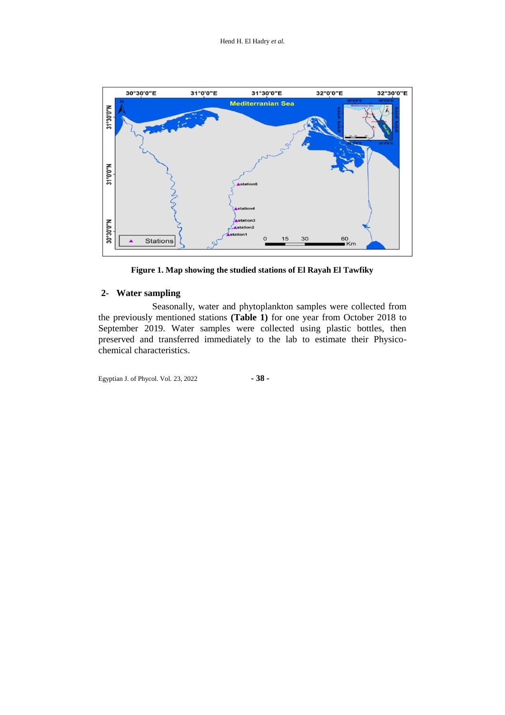

**Figure 1. Map showing the studied stations of El Rayah El Tawfiky**

## **2- Water sampling**

Seasonally, water and phytoplankton samples were collected from the previously mentioned stations **(Table 1)** for one year from October 2018 to September 2019. Water samples were collected using plastic bottles, then preserved and transferred immediately to the lab to estimate their Physicochemical characteristics.

Egyptian J. of Phycol. Vol. 23, 2022 **- 38 -**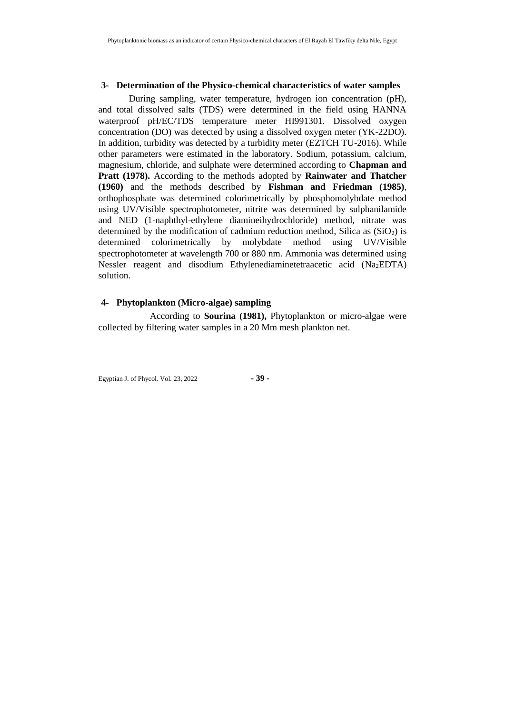#### **3- Determination of the Physico-chemical characteristics of water samples**

During sampling, water temperature, hydrogen ion concentration (pH), and total dissolved salts (TDS) were determined in the field using HANNA waterproof pH/EC/TDS temperature meter HI991301. Dissolved oxygen concentration (DO) was detected by using a dissolved oxygen meter (YK-22DO). In addition, turbidity was detected by a turbidity meter (EZTCH TU-2016). While other parameters were estimated in the laboratory. Sodium, potassium, calcium, magnesium, chloride, and sulphate were determined according to **Chapman and Pratt (1978).** According to the methods adopted by **Rainwater and Thatcher (1960)** and the methods described by **Fishman and Friedman (1985)**, orthophosphate was determined colorimetrically by phosphomolybdate method using UV/Visible spectrophotometer, nitrite was determined by sulphanilamide and NED (1-naphthyl-ethylene diamineihydrochloride) method, nitrate was determined by the modification of cadmium reduction method, Silica as  $(SiO<sub>2</sub>)$  is determined colorimetrically by molybdate method using UV/Visible spectrophotometer at wavelength 700 or 880 nm. Ammonia was determined using Nessler reagent and disodium Ethylenediaminetetraacetic acid (Na2EDTA) solution.

#### **4- Phytoplankton (Micro-algae) sampling**

According to **Sourina (1981),** Phytoplankton or micro-algae were collected by filtering water samples in a 20 Mm mesh plankton net.

Egyptian J. of Phycol. Vol. 23, 2022 **- 39 -**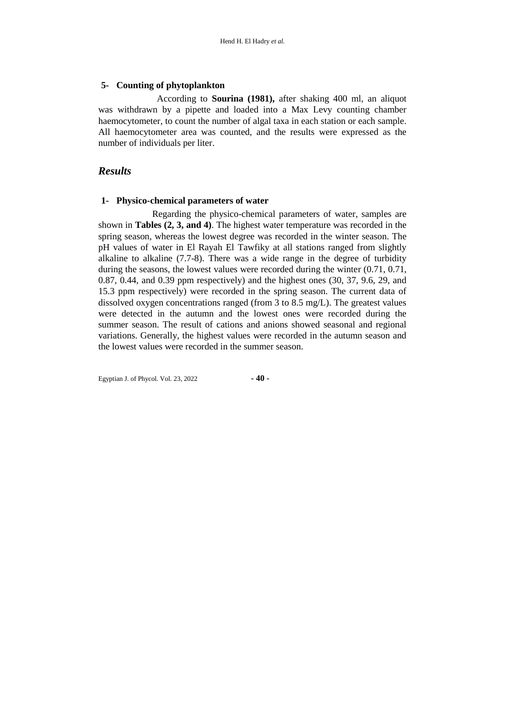#### **5- Counting of phytoplankton**

 According to **Sourina (1981),** after shaking 400 ml, an aliquot was withdrawn by a pipette and loaded into a Max Levy counting chamber haemocytometer, to count the number of algal taxa in each station or each sample. All haemocytometer area was counted, and the results were expressed as the number of individuals per liter.

#### *Results*

#### **1- Physico-chemical parameters of water**

 Regarding the physico-chemical parameters of water, samples are shown in **Tables (2, 3, and 4)**. The highest water temperature was recorded in the spring season, whereas the lowest degree was recorded in the winter season. The pH values of water in El Rayah El Tawfiky at all stations ranged from slightly alkaline to alkaline (7.7-8). There was a wide range in the degree of turbidity during the seasons, the lowest values were recorded during the winter (0.71, 0.71, 0.87, 0.44, and 0.39 ppm respectively) and the highest ones (30, 37, 9.6, 29, and 15.3 ppm respectively) were recorded in the spring season. The current data of dissolved oxygen concentrations ranged (from 3 to 8.5 mg/L). The greatest values were detected in the autumn and the lowest ones were recorded during the summer season. The result of cations and anions showed seasonal and regional variations. Generally, the highest values were recorded in the autumn season and the lowest values were recorded in the summer season.

Egyptian J. of Phycol. Vol. 23, 2022 **- 40 -**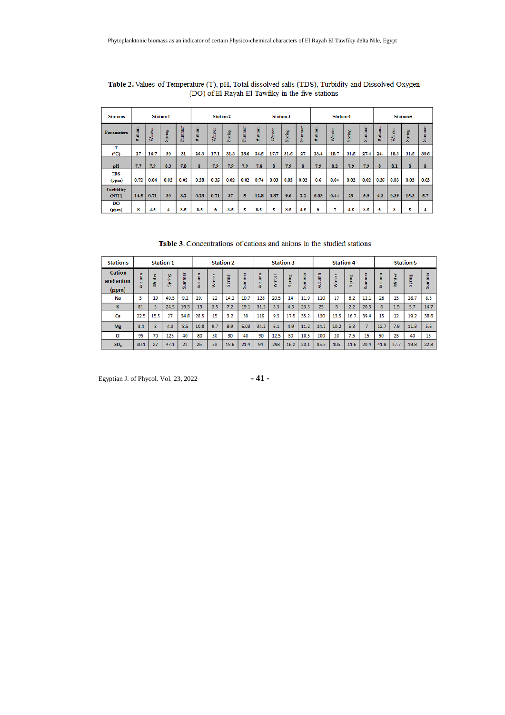| <b>Stations</b>     |        |        | <b>Station1</b> |        |        | Station <sub>2</sub> |        |        |        |        | Station <sub>3</sub> |        |        | <b>Station4</b> |        |        |        |        | <b>Station5</b> |        |
|---------------------|--------|--------|-----------------|--------|--------|----------------------|--------|--------|--------|--------|----------------------|--------|--------|-----------------|--------|--------|--------|--------|-----------------|--------|
| <b>Parameters</b>   | Autumn | Winter | Spring          | Summer | Autumn | Winter               | Spring | Summer | Autumn | Winter | Spring               | Summer | Autumn | Winter          | Spring | Summer | Autumn | Winter | Spring          | Summer |
| (°C)                | 27     | 16.7   | 30              | 31     | 26.3   | 17.1                 | 31.3   | 28.6   | 24.5   | 17.7   | 31.6                 | 27     | 23.4   | 18.7            | 31.5   | 27.4   | 24.    | 18.3   | 31.5            | 30.6   |
| pH                  | 7.7    | 7.9    | 8.3             | 7.8    | 8      | 7.9                  | 7.9    | 7.9    | 7.8    | 8      | 7.9                  | 8      | 7.9    | 8.2             | 7.9    | 7.9    | 8      | 8.1    | 8               | 8      |
| <b>TDS</b><br>(ppm) | 0.72   | 0.04   | 0.02            | 0.02   | 0.28   | 0.35                 | 0.02   | 0.02   | 0.74   | 0.03   | 0.02                 | 0.02   | 0.6    | 0.04            | 0.02   | 0.02   | 0.26   | 0.03   | 0.02            | 0.03   |
| Turbidity<br>(NTU)  | 14.5   | 0.71   | 30              | 8.2    | 0.28   | 0.71                 | 37     | 5      | 12.8   | 0.87   | 9.6                  | 2.2    | 6.03   | 0.44            | 29     | 5.9    | 4.3    | 0.39   | 15.3            | 5.7    |
| DO<br>(ppm)         | 8      | 4.5    | 4               | 3.5    | 8.5    | 6                    | 3.5    | 5      | 8.5    | Б      | 3.5                  | 4.5    | 6      |                 | 4.5    | 3.5    | 6      | 3      | 5               |        |

Table 2. Values of Temperature (T), pH, Total dissolved salts (TDS), Turbidity and Dissolved Oxygen (DO) of El Rayah El Tawfiky in the five stations

Table 3. Concentrations of cations and anions in the studied stations

| <b>Stations</b>                     |        |        | <b>Station 1</b> |        |        |             | <b>Station 2</b> |        |        | <b>Station 3</b> |        |      |        | <b>Station 4</b> |        |        |        |                | <b>Station 5</b> |        |
|-------------------------------------|--------|--------|------------------|--------|--------|-------------|------------------|--------|--------|------------------|--------|------|--------|------------------|--------|--------|--------|----------------|------------------|--------|
| <b>Cation</b><br>and anion<br>(ppm) | Autumn | Ninter | 뽇<br><br>۰<br>ū. | Summer | Autumn | 은<br>Ē<br>Š | Spring           | Summer | Autumn | $\omega$<br>ş    | Spring | 훖    | Autumn | Winter           | Spring | ō<br>E | Autumn | $\omega$<br>Î. | pring<br>ū       | Summer |
| Na                                  | з      | 19     | 49.5             | 9.2    | 29.    | 22          | 14.2             | 10.7   | 128    | 20.5             | 14     | 11.9 | 110    | 17               | 6.2    | 12.1   | 26     | 13             | 28.7             | 8.3    |
| к                                   | 81     | 5      | 24.5             | 19.3   | 13     | 3.5         | 7.2              | 19.1   | 31.5   | 3.5              | 4.5    | 23.5 | 25     | 3                | 2.2    | 20.5   | 6      | 1.5            | 5.7              | 14.7   |
| Ca                                  | 22.5   | 15.5   | 27               | 34.8   | 28.5   | 15          | 3.2              | 39     | 119    | 9.5              | 17.5   | 35.2 | 130    | 13.5             | 16.7   | 39.4   | 15     | 12             | 19.2             | 38.6   |
| <b>Mg</b>                           | 8.4    | 8      | 4.3              | 8.5    | 10.8   | 9.7         | 8.9              | 6.03   | 34.2   | 6.1              | 4.9    | 11.2 | 24.1   | 10.2             | 5.3    |        | 12.7   | 7.9            | 11.3             | 5.6    |
| <b>CI</b>                           | 95     | 70     | 125              | 40     | 80     | 50          | 30               | 40     | 90     | 12.5             | 30     | 10.5 | 200    | 20               | 7.5    | 15     | 50     | 23             | 40               | 15     |
| SO <sub>4</sub>                     | 30.1   | 27     | 47.1             | 22     | 26     | 53          | 19.6             | 21.4   | 94     | 298              | 16.2   | 23.1 | 85.5   | 105              | 11.6   | 20.4   | 41.8   | 27.7           | 19.8             | 22.8   |

Egyptian J. of Phycol. Vol. 23, 2022 **- 41 -**

$$
-41-
$$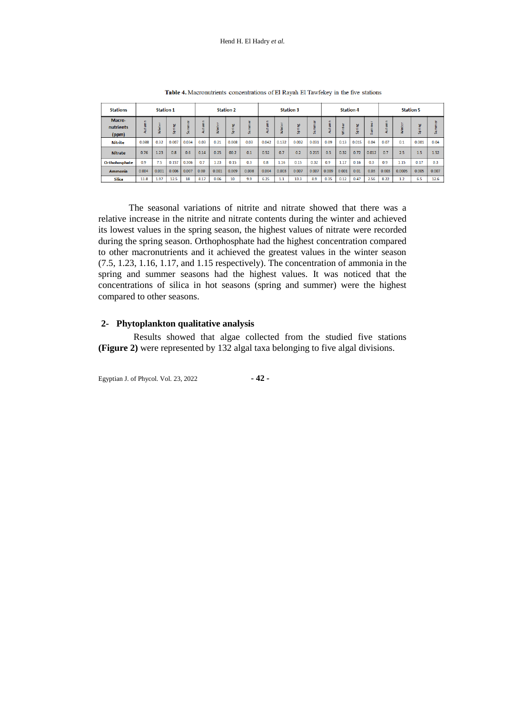| <b>Stations</b>              |        | <b>Station 1</b>        |             |                                    |                  |       | <b>Station 2</b> |                           |            |       | <b>Station 3</b> |                                           |       | <b>Station 4</b>   |        |                          |       |        | <b>Station 5</b> |       |
|------------------------------|--------|-------------------------|-------------|------------------------------------|------------------|-------|------------------|---------------------------|------------|-------|------------------|-------------------------------------------|-------|--------------------|--------|--------------------------|-------|--------|------------------|-------|
| Macro-<br>nutrients<br>(ppm) | Autumn | $\omega$<br>÷<br>ъ<br>ã | 뿓<br>a<br>க | $\overline{\omega}$<br>Ē<br>Ē<br>э | ٠<br>Ē<br>э<br>į | ₹     | 뿓<br>Æ<br>흤      | $\overline{\omega}$<br>ū. | Ē<br>Autur |       | 뿓<br>ā<br>к×     | $\overline{\omega}$<br>Ē<br>Ē<br>э<br>ı7. | 듵     | $\omega$<br>1<br>İ | ğ<br>흤 | $\overline{\omega}$<br>Б | utumn |        | 벌<br>tn.         | Summe |
| <b>Nitrite</b>               | 0.088  | 0.32                    | 0.007       | 0.034                              | 0.03             | 0.21  | 0.008            | 0.03                      | 0.042      | 0.132 | 0.002            | 0.031                                     | 0.09  | 0.13               | 0.015  | 0.04                     | 0.07  | 0.1    | 0.001            | 0.04  |
| <b>Nitrate</b>               | 0.76   | 1.23                    | 0.8         | 0.6                                | 0.14             | 0.25  | 00.2             | 0.1                       | 0.52       | 0.7   | 0.2              | 0.215                                     | 0.5   | 0.32               | 0.72   | 0.012                    | 0.7   | 2.5    | 1.5              | 1.52  |
| Orthohosphate                | 0.9    | 7.5                     | 0.157       | 0.306                              | 0.7              | 1.23  | 0.15             | 0.3                       | 0.8        | 1.16  | 0.15             | 0.32                                      | 0.9   | 1.17               | 0.16   | 0.3                      | 0.9   | 1.15   | 0.17             | 0.3   |
| <b>Ammonia</b>               | 0.004  | 0.001                   | 0.006       | 0.007                              | 0.00             | 0.001 | 0.009            | 0.008                     | 0.004      | 0.003 | 0.007            | 0.007                                     | 0.009 | 0.001              | 0.01   | 0.03                     | 0.003 | 0.0005 | 0.005            | 0.007 |
| <b>Silica</b>                | 11.8   | 1.97                    | 12.5        | 18                                 | 8.17             | 0.06  | 10               | 9.9                       | 6.25       | 1.1   | 13.3             | 8.9                                       | 0.35  | 0.12               | 0.47   | 2.56                     | 8.22  | 1.2    | 6.5              | 12.6  |

Table 4. Macronutrients concentrations of El Rayah El Tawfekey in the five stations

The seasonal variations of nitrite and nitrate showed that there was a relative increase in the nitrite and nitrate contents during the winter and achieved its lowest values in the spring season, the highest values of nitrate were recorded during the spring season. Orthophosphate had the highest concentration compared to other macronutrients and it achieved the greatest values in the winter season (7.5, 1.23, 1.16, 1.17, and 1.15 respectively). The concentration of ammonia in the spring and summer seasons had the highest values. It was noticed that the concentrations of silica in hot seasons (spring and summer) were the highest compared to other seasons.

#### **2- Phytoplankton qualitative analysis**

 Results showed that algae collected from the studied five stations **(Figure 2)** were represented by 132 algal taxa belonging to five algal divisions.

Egyptian J. of Phycol. Vol. 23, 2022 **- 42 -**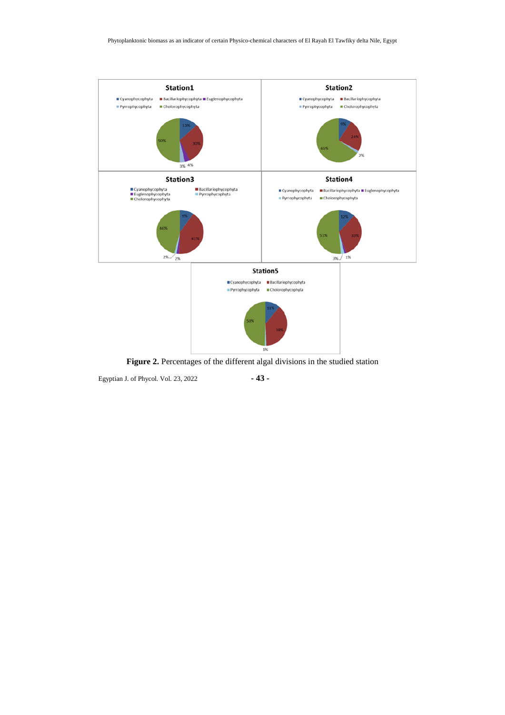

**Figure 2.** Percentages of the different algal divisions in the studied station

Egyptian J. of Phycol. Vol. 23, 2022 **- 43 -**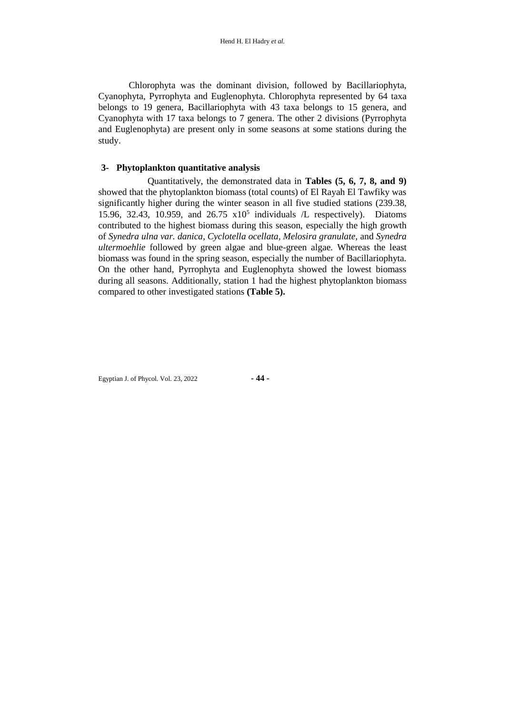Chlorophyta was the dominant division, followed by Bacillariophyta, Cyanophyta, Pyrrophyta and Euglenophyta. Chlorophyta represented by 64 taxa belongs to 19 genera, Bacillariophyta with 43 taxa belongs to 15 genera, and Cyanophyta with 17 taxa belongs to 7 genera. The other 2 divisions (Pyrrophyta and Euglenophyta) are present only in some seasons at some stations during the study.

#### **3- Phytoplankton quantitative analysis**

 Quantitatively, the demonstrated data in **Tables (5, 6, 7, 8, and 9)**  showed that the phytoplankton biomass (total counts) of El Rayah El Tawfiky was significantly higher during the winter season in all five studied stations (239.38, 15.96, 32.43, 10.959, and  $26.75 \times 10^5$  individuals /L respectively). Diatoms contributed to the highest biomass during this season, especially the high growth of *Synedra ulna var. danica, Cyclotella ocellata, Melosira granulate,* and *Synedra ultermoehlie* followed by green algae and blue-green algae*.* Whereas the least biomass was found in the spring season, especially the number of Bacillariophyta. On the other hand, Pyrrophyta and Euglenophyta showed the lowest biomass during all seasons. Additionally, station 1 had the highest phytoplankton biomass compared to other investigated stations **(Table 5).**

Egyptian J. of Phycol. Vol. 23, 2022 **- 44 -**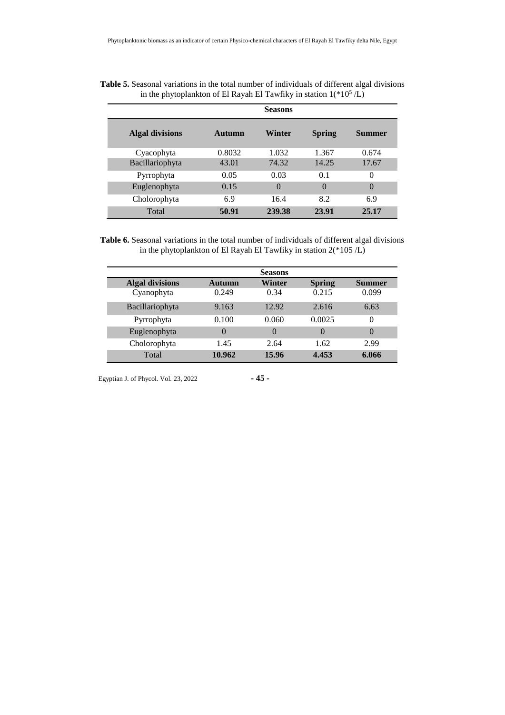|                        |        | <b>Seasons</b> |               |               |
|------------------------|--------|----------------|---------------|---------------|
| <b>Algal divisions</b> | Autumn | Winter         | <b>Spring</b> | <b>Summer</b> |
| Cyacophyta             | 0.8032 | 1.032          | 1.367         | 0.674         |
| Bacillariophyta        | 43.01  | 74.32          | 14.25         | 17.67         |
| Pyrrophyta             | 0.05   | 0.03           | 0.1           | $\theta$      |
| Euglenophyta           | 0.15   | $\Omega$       | $\Omega$      | $\theta$      |
| Cholorophyta           | 6.9    | 16.4           | 8.2           | 6.9           |
| Total                  | 50.91  | 239.38         | 23.91         | 25.17         |

| Table 5. Seasonal variations in the total number of individuals of different algal divisions |  |
|----------------------------------------------------------------------------------------------|--|
| in the phytoplankton of El Rayah El Tawfiky in station $1(*10^5/L)$                          |  |

**Table 6.** Seasonal variations in the total number of individuals of different algal divisions in the phytoplankton of El Rayah El Tawfiky in station 2(\*105 /L)

|                        |          | <b>Seasons</b> |               |          |
|------------------------|----------|----------------|---------------|----------|
| <b>Algal divisions</b> | Autumn   | Winter         | <b>Spring</b> | Summer   |
| Cyanophyta             | 0.249    | 0.34           | 0.215         | 0.099    |
| Bacillariophyta        | 9.163    | 12.92          | 2.616         | 6.63     |
| Pyrrophyta             | 0.100    | 0.060          | 0.0025        | $\Omega$ |
| Euglenophyta           | $\Omega$ | $\Omega$       | $\Omega$      | $\Omega$ |
| Cholorophyta           | 1.45     | 2.64           | 1.62          | 2.99     |
| Total                  | 10.962   | 15.96          | 4.453         | 6.066    |

Egyptian J. of Phycol. Vol. 23, 2022 **- 45 -**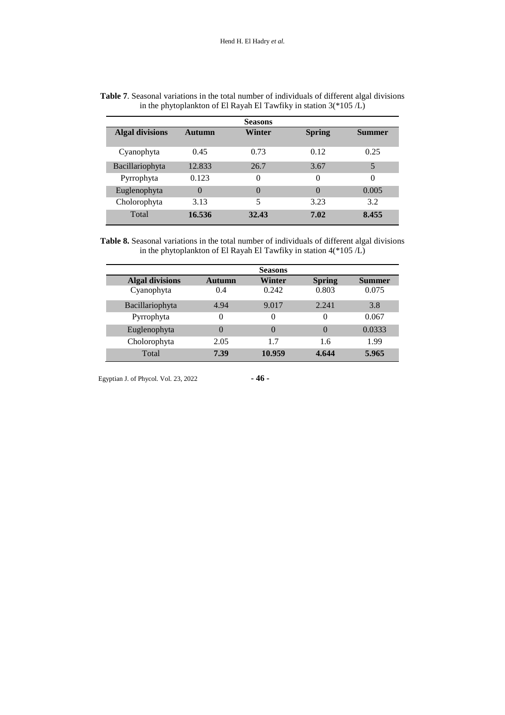|                        |          | <b>Seasons</b> |               |          |
|------------------------|----------|----------------|---------------|----------|
| <b>Algal divisions</b> | Autumn   | Winter         | <b>Spring</b> | Summer   |
| Cyanophyta             | 0.45     | 0.73           | 0.12          | 0.25     |
| Bacillariophyta        | 12.833   | 26.7           | 3.67          | 5        |
| Pyrrophyta             | 0.123    | 0              | 0             | $\Omega$ |
| Euglenophyta           | $\Omega$ | $\theta$       | $\Omega$      | 0.005    |
| Cholorophyta           | 3.13     | 5              | 3.23          | 3.2      |
| Total                  | 16.536   | 32.43          | 7.02          | 8.455    |

| Table 7. Seasonal variations in the total number of individuals of different algal divisions |  |
|----------------------------------------------------------------------------------------------|--|
| in the phytoplankton of El Rayah El Tawfiky in station $3$ (*105 /L)                         |  |

**Table 8.** Seasonal variations in the total number of individuals of different algal divisions in the phytoplankton of El Rayah El Tawfiky in station  $4$ (\*105 $/L$ )

|                        |        | <b>Seasons</b> |               |        |
|------------------------|--------|----------------|---------------|--------|
| <b>Algal divisions</b> | Autumn | Winter         | <b>Spring</b> | Summer |
| Cyanophyta             | 0.4    | 0.242          | 0.803         | 0.075  |
| Bacillariophyta        | 4.94   | 9.017          | 2.241         | 3.8    |
| Pyrrophyta             | 0      | 0              | 0             | 0.067  |
| Euglenophyta           | 0      | $\theta$       | $\theta$      | 0.0333 |
| Cholorophyta           | 2.05   | 1.7            | 1.6           | 1.99   |
| Total                  | 7.39   | 10.959         | 4.644         | 5.965  |

Egyptian J. of Phycol. Vol. 23, 2022 **- 46 -**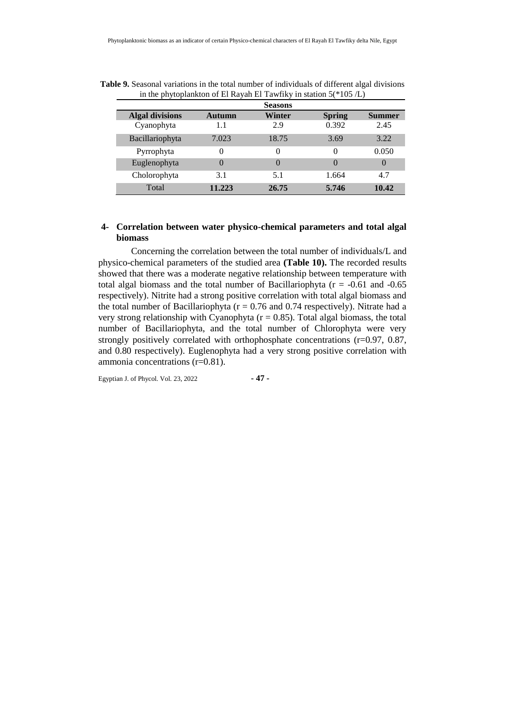|                        |          | <b>Seasons</b> |               |        |
|------------------------|----------|----------------|---------------|--------|
| <b>Algal divisions</b> | Autumn   | Winter         | <b>Spring</b> | Summer |
| Cyanophyta             | 1.1      | 2.9            | 0.392         | 2.45   |
| Bacillariophyta        | 7.023    | 18.75          | 3.69          | 3.22   |
| Pyrrophyta             | $\theta$ | 0              | 0             | 0.050  |
| Euglenophyta           |          |                | $\Omega$      |        |
| Cholorophyta           | 3.1      | 5.1            | 1.664         | 4.7    |
| Total                  | 11.223   | 26.75          | 5.746         | 10.42  |

**Table 9.** Seasonal variations in the total number of individuals of different algal divisions in the phytoplankton of El Rayah El Tawfiky in station  $5$ (\*105 $/L$ )

#### **4- Correlation between water physico-chemical parameters and total algal biomass**

Concerning the correlation between the total number of individuals/L and physico-chemical parameters of the studied area **(Table 10).** The recorded results showed that there was a moderate negative relationship between temperature with total algal biomass and the total number of Bacillariophyta ( $r = -0.61$  and  $-0.65$ ) respectively). Nitrite had a strong positive correlation with total algal biomass and the total number of Bacillariophyta ( $r = 0.76$  and 0.74 respectively). Nitrate had a very strong relationship with Cyanophyta  $(r = 0.85)$ . Total algal biomass, the total number of Bacillariophyta, and the total number of Chlorophyta were very strongly positively correlated with orthophosphate concentrations (r=0.97, 0.87, and 0.80 respectively). Euglenophyta had a very strong positive correlation with ammonia concentrations (r=0.81).

Egyptian J. of Phycol. Vol. 23, 2022 **- 47 -**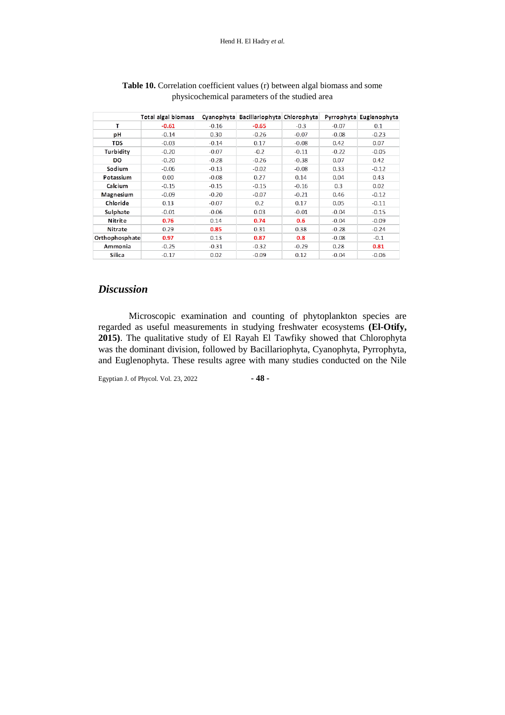|                | <b>Total algal biomass</b> |         | Cyanophyta Bacillariophyta Chlorophyta |         |         | Pyrrophyta Euglenophyta |
|----------------|----------------------------|---------|----------------------------------------|---------|---------|-------------------------|
| т              | $-0.61$                    | $-0.16$ | $-0.65$                                | $-0.3$  | $-0.07$ | 0.1                     |
| рH             | $-0.14$                    | 0.30    | $-0.26$                                | $-0.07$ | $-0.08$ | $-0.23$                 |
| <b>TDS</b>     | $-0.03$                    | $-0.14$ | 0.17                                   | $-0.08$ | 0.42    | 0.07                    |
| Turbidity      | $-0.20$                    | $-0.07$ | $-0.2$                                 | $-0.11$ | $-0.22$ | $-0.05$                 |
| DO             | $-0.20$                    | $-0.28$ | $-0.26$                                | $-0.38$ | 0.07    | 0.42                    |
| Sodium         | $-0.06$                    | $-0.13$ | $-0.02$                                | $-0.08$ | 0.33    | $-0.12$                 |
| Potassium      | 0.00                       | $-0.08$ | 0.27                                   | 0.14    | 0.04    | 0.43                    |
| Calcium        | $-0.15$                    | $-0.15$ | $-0.15$                                | $-0.16$ | 0.3     | 0.02                    |
| Magnesium      | $-0.09$                    | $-0.20$ | $-0.07$                                | $-0.21$ | 0.46    | $-0.12$                 |
| Chloride       | 0.13                       | $-0.07$ | 0.2                                    | 0.17    | 0.05    | $-0.11$                 |
| Sulphate       | $-0.01$                    | $-0.06$ | 0.03                                   | $-0.01$ | $-0.04$ | $-0.15$                 |
| Nitrite        | 0.76                       | 0.14    | 0.74                                   | 0.6     | $-0.04$ | $-0.09$                 |
| Nitrate        | 0.29                       | 0.85    | 0.31                                   | 0.38    | $-0.28$ | $-0.24$                 |
| Orthophosphate | 0.97                       | 0.13    | 0.87                                   | 0.8     | $-0.08$ | $-0.1$                  |
| Ammonia        | $-0.25$                    | $-0.31$ | $-0.32$                                | $-0.29$ | 0.28    | 0.81                    |
| Silica         | $-0.17$                    | 0.02    | $-0.09$                                | 0.12    | $-0.04$ | $-0.06$                 |

#### **Table 10.** Correlation coefficient values (r) between algal biomass and some physicochemical parameters of the studied area

## *Discussion*

Microscopic examination and counting of phytoplankton species are regarded as useful measurements in studying freshwater ecosystems **(El-Otify, 2015)**. The qualitative study of El Rayah El Tawfiky showed that Chlorophyta was the dominant division, followed by Bacillariophyta, Cyanophyta, Pyrrophyta, and Euglenophyta. These results agree with many studies conducted on the Nile

Egyptian J. of Phycol. Vol. 23, 2022 **- 48 -**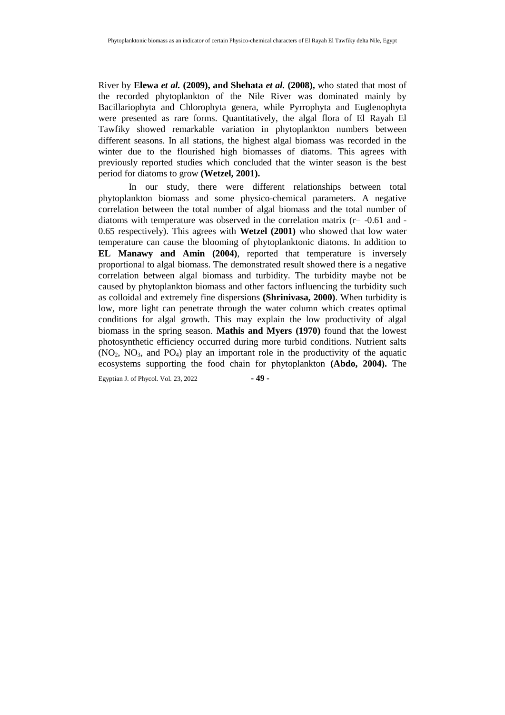River by **Elewa** *et al.* **(2009), and Shehata** *et al.* **(2008),** who stated that most of the recorded phytoplankton of the Nile River was dominated mainly by Bacillariophyta and Chlorophyta genera, while Pyrrophyta and Euglenophyta were presented as rare forms. Quantitatively, the algal flora of El Rayah El Tawfiky showed remarkable variation in phytoplankton numbers between different seasons. In all stations, the highest algal biomass was recorded in the winter due to the flourished high biomasses of diatoms. This agrees with previously reported studies which concluded that the winter season is the best period for diatoms to grow **(Wetzel, 2001).**

In our study, there were different relationships between total phytoplankton biomass and some physico-chemical parameters. A negative correlation between the total number of algal biomass and the total number of diatoms with temperature was observed in the correlation matrix  $(r = -0.61$  and -0.65 respectively). This agrees with **Wetzel (2001)** who showed that low water temperature can cause the blooming of phytoplanktonic diatoms. In addition to **EL Manawy and Amin (2004)**, reported that temperature is inversely proportional to algal biomass. The demonstrated result showed there is a negative correlation between algal biomass and turbidity. The turbidity maybe not be caused by phytoplankton biomass and other factors influencing the turbidity such as colloidal and extremely fine dispersions **(Shrinivasa, 2000)**. When turbidity is low, more light can penetrate through the water column which creates optimal conditions for algal growth. This may explain the low productivity of algal biomass in the spring season. **Mathis and Myers (1970)** found that the lowest photosynthetic efficiency occurred during more turbid conditions. Nutrient salts  $(NO<sub>2</sub>, NO<sub>3</sub>, and PO<sub>4</sub>)$  play an important role in the productivity of the aquatic ecosystems supporting the food chain for phytoplankton **(Abdo, 2004).** The

Egyptian J. of Phycol. Vol. 23, 2022 **- 49 -**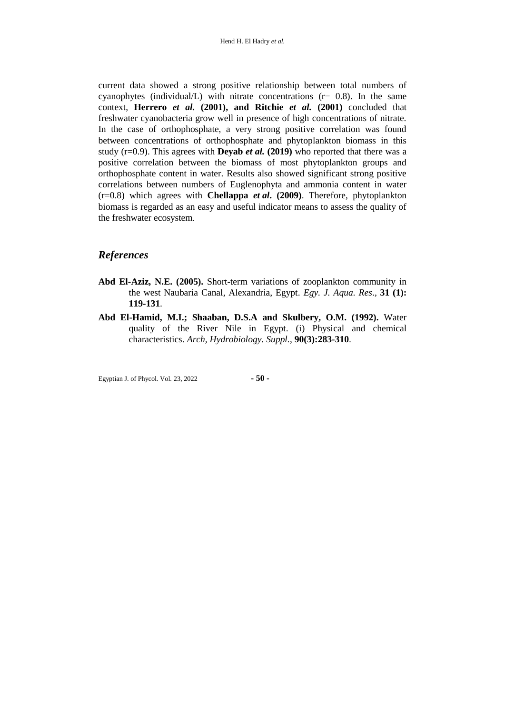current data showed a strong positive relationship between total numbers of cyanophytes (individual/L) with nitrate concentrations  $(r= 0.8)$ . In the same context, **Herrero** *et al.* **(2001), and Ritchie** *et al.* **(2001)** concluded that freshwater cyanobacteria grow well in presence of high concentrations of nitrate. In the case of orthophosphate, a very strong positive correlation was found between concentrations of orthophosphate and phytoplankton biomass in this study ( $r=0.9$ ). This agrees with **Deyab** *et al.* (2019) who reported that there was a positive correlation between the biomass of most phytoplankton groups and orthophosphate content in water. Results also showed significant strong positive correlations between numbers of Euglenophyta and ammonia content in water (r=0.8) which agrees with **Chellappa** *et al***. (2009)**. Therefore, phytoplankton biomass is regarded as an easy and useful indicator means to assess the quality of the freshwater ecosystem.

## *References*

- **Abd El-Aziz, N.E. (2005).** Short-term variations of zooplankton community in the west Naubaria Canal, Alexandria, Egypt. *Egy. J. Aqua. Res*., **31 (1): 119-131**.
- **Abd El-Hamid, M.I.; Shaaban, D.S.A and Skulbery, O.M. (1992).** Water quality of the River Nile in Egypt. (i) Physical and chemical characteristics. *Arch, Hydrobiology. Suppl.*, **90(3):283-310**.

Egyptian J. of Phycol. Vol. 23, 2022 **- 50 -**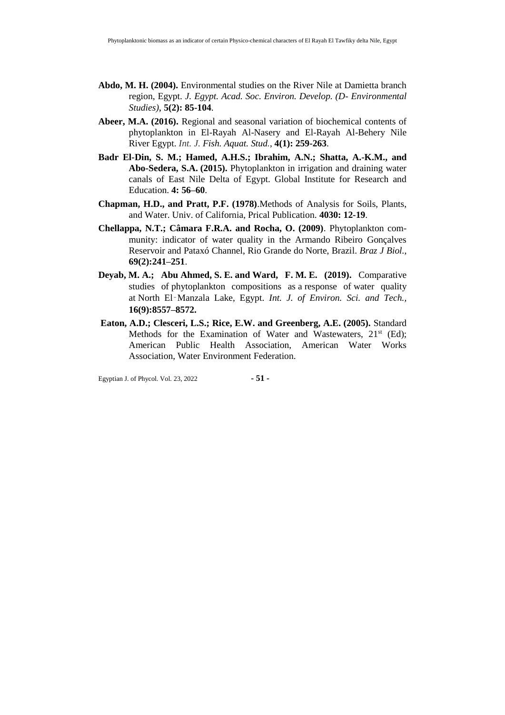- **Abdo, M. H. (2004).** Environmental studies on the River Nile at Damietta branch region, Egypt. *J. Egypt. Acad. Soc. Environ. Develop. (D- Environmental Studies)*, **5(2): 85-104**.
- **Abeer, M.A. (2016).** Regional and seasonal variation of biochemical contents of phytoplankton in El-Rayah Al-Nasery and El-Rayah Al-Behery Nile River Egypt. *Int. J. Fish. Aquat. Stud.*, **4(1): 259-263**.
- **Badr El-Din, S. M.; Hamed, A.H.S.; Ibrahim, A.N.; Shatta, A.-K.M., and Abo-Sedera, S.A. (2015).** Phytoplankton in irrigation and draining water canals of East Nile Delta of Egypt. Global Institute for Research and Education. **4: 56–60**.
- **Chapman, H.D., and Pratt, P.F. (1978)**.Methods of Analysis for Soils, Plants, and Water. Univ. of California, Prical Publication. **4030: 12-19**.
- **Chellappa, N.T.; Câmara F.R.A. and Rocha, O. (2009)**. Phytoplankton community: indicator of water quality in the Armando Ribeiro Gonçalves Reservoir and Pataxó Channel, Rio Grande do Norte, Brazil. *Braz J Biol.*, **69(2):241–251**.
- **Deyab, M. A.; Abu Ahmed, S. E. and Ward, F. M. E. (2019).** Comparative studies of phytoplankton compositions as a response of water quality at North El‑Manzala Lake, Egypt. *Int. J. of Environ. Sci. and Tech.,*  **16(9):8557–8572.**
- **Eaton, A.D.; Clesceri, L.S.; Rice, E.W. and Greenberg, A.E. (2005).** Standard Methods for the Examination of Water and Wastewaters, 21<sup>st</sup> (Ed); American Public Health Association, American Water Works Association, Water Environment Federation.

Egyptian J. of Phycol. Vol. 23, 2022 **- 51 -**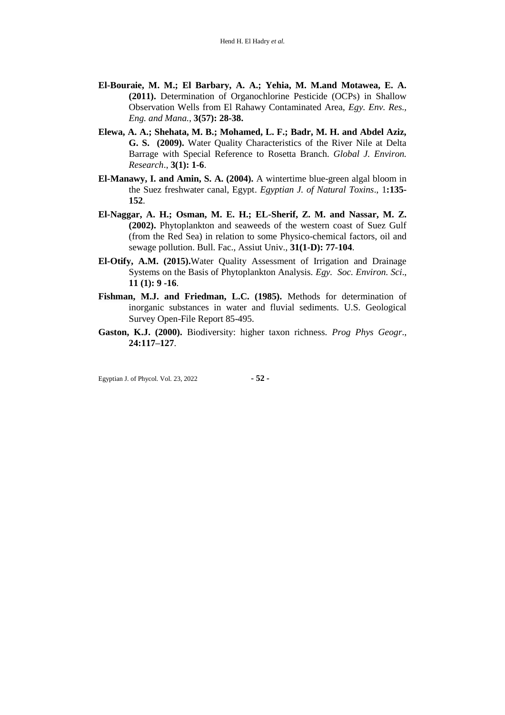- **El-Bouraie, M. M.; El Barbary, A. A.; Yehia, M. M.and Motawea, E. A. (2011).** Determination of Organochlorine Pesticide (OCPs) in Shallow Observation Wells from El Rahawy Contaminated Area, *Egy. Env. Res., Eng. and Mana.*, **3(57): 28-38.**
- **Elewa, A. A.; Shehata, M. B.; Mohamed, L. F.; Badr, M. H. and Abdel Aziz, G. S. (2009).** Water Quality Characteristics of the River Nile at Delta Barrage with Special Reference to Rosetta Branch. *Global J. Environ. Research*., **3(1): 1-6**.
- **El-Manawy, I. and Amin, S. A. (2004).** A wintertime blue-green algal bloom in the Suez freshwater canal, Egypt. *Egyptian J. of Natural Toxins*., 1**:135- 152**.
- **El-Naggar, A. H.; Osman, M. E. H.; EL-Sherif, Z. M. and Nassar, M. Z. (2002).** Phytoplankton and seaweeds of the western coast of Suez Gulf (from the Red Sea) in relation to some Physico-chemical factors, oil and sewage pollution. Bull. Fac., Assiut Univ., **31(1-D): 77-104**.
- **El-Otify, A.M. (2015).**Water Quality Assessment of Irrigation and Drainage Systems on the Basis of Phytoplankton Analysis. *Egy. Soc. Environ. Sci*., **11 (1): 9 -16**.
- **Fishman, M.J. and Friedman, L.C. (1985).** Methods for determination of inorganic substances in water and fluvial sediments. U.S. Geological Survey Open-File Report 85-495.
- **Gaston, K.J. (2000).** Biodiversity: higher taxon richness. *Prog Phys Geogr*., **24:117–127**.

Egyptian J. of Phycol. Vol. 23, 2022 **- 52 -**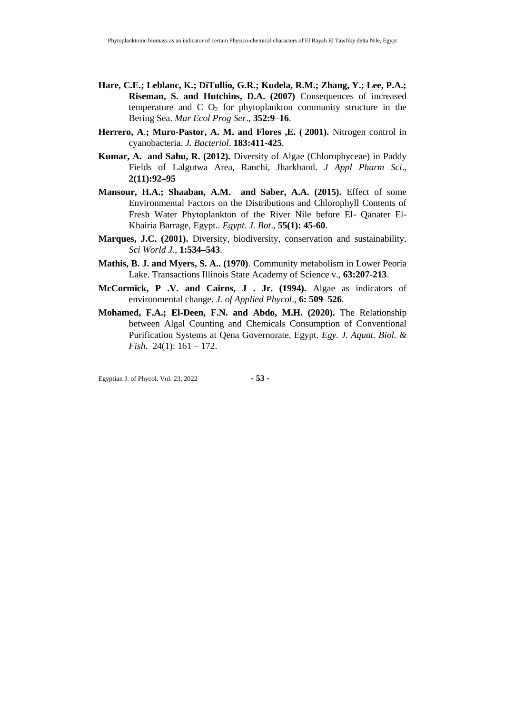- **Hare, C.E.; Leblanc, K.; DiTullio, G.R.; Kudela, R.M.; Zhang, Y.; Lee, P.A.; Riseman, S. and Hutchins, D.A. (2007)** Consequences of increased temperature and  $C_2$  for phytoplankton community structure in the Bering Sea. *Mar Ecol Prog Ser*., **352:9–16**.
- **Herrero, A**.**; Muro-Pastor, A. M. and Flores ,E. ( 2001).** Nitrogen control in cyanobacteria. *J. Bacteriol*. **183:411-425**.
- **Kumar, A. and Sahu, R. (2012).** Diversity of Algae (Chlorophyceae) in Paddy Fields of Lalgutwa Area, Ranchi, Jharkhand. *J Appl Pharm Sci*., **2(11):92–95**
- **Mansour, H.A.; Shaaban, A.M. and Saber, A.A. (2015).** Effect of some Environmental Factors on the Distributions and Chlorophyll Contents of Fresh Water Phytoplankton of the River Nile before El- Qanater El-Khairia Barrage, Egypt.. *Egypt. J. Bot*., **55(1): 45-60**.
- **Marques, J.C. (2001).** Diversity, biodiversity, conservation and sustainability. *Sci World J.*, **1:534–543**.
- **Mathis, B. J. and Myers, S. A.. (1970)**. Community metabolism in Lower Peoria Lake. Transactions Illinois State Academy of Science v., **63:207-213**.
- **McCormick, P .V. and Cairns, J . Jr. (1994).** Algae as indicators of environmental change. *J. of Applied Phycol*., **6: 509–526**.
- **Mohamed, F.A.; El-Deen, F.N. and Abdo, M.H. (2020).** The Relationship between Algal Counting and Chemicals Consumption of Conventional Purification Systems at Qena Governorate, Egypt. *Egy. J. Aquat. Biol. & Fish*. 24(1): 161 – 172.

Egyptian J. of Phycol. Vol. 23, 2022 **- 53 -**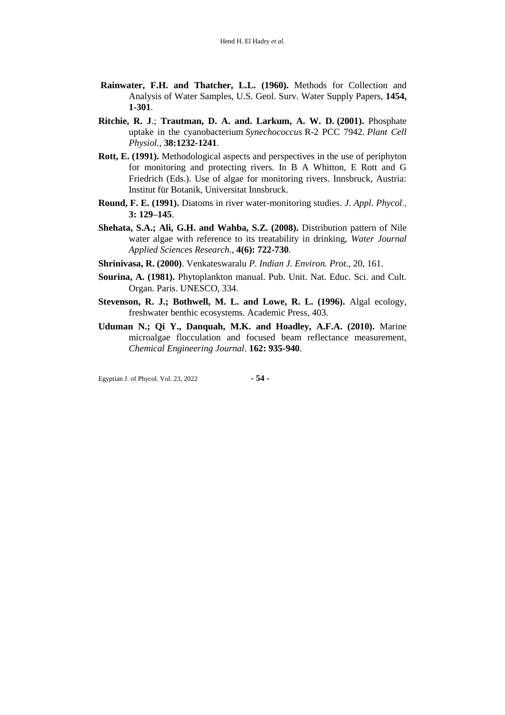- **Rainwater, F.H. and Thatcher, L.L. (1960).** Methods for Collection and Analysis of Water Samples, U.S. Geol. Surv. Water Supply Papers, **1454, 1-301**.
- **Ritchie, R. J**.; **Trautman, D. A. and. Larkum, A. W. D. (2001).** Phosphate uptake in the cyanobacterium *Synechococcus* R-2 PCC 7942. *Plant Cell Physiol.*, **38:1232-1241**.
- **Rott, E. (1991).** Methodological aspects and perspectives in the use of periphyton for monitoring and protecting rivers. In B A Whitton, E Rott and G Friedrich (Eds.). Use of algae for monitoring rivers. Innsbruck, Austria: Institut für Botanik, Universitat Innsbruck.
- **Round, F. E. (1991).** Diatoms in river water-monitoring studies. *J. Appl. Phycol*., **3: 129–145**.
- **Shehata, S.A.; Ali, G.H. and Wahba, S.Z. (2008).** Distribution pattern of Nile water algae with reference to its treatability in drinking, *Water Journal Applied Sciences Research.*, **4(6): 722-730**.
- **Shrinivasa, R. (2000)**. Venkateswaralu *P. Indian J. Environ. Prot*., 20, 161.
- **Sourina, A. (1981).** Phytoplankton manual. Pub. Unit. Nat. Educ. Sci. and Cult. Organ. Paris. UNESCO, 334.
- **Stevenson, R. J.; Bothwell, M. L. and Lowe, R. L. (1996).** Algal ecology, freshwater benthic ecosystems. Academic Press, 403.
- **Uduman N.; Qi Y., Danquah, M.K. and Hoadley, A.F.A. (2010).** Marine microalgae flocculation and focused beam reflectance measurement, *Chemical Engineering Journal*. **162: 935-940**.

Egyptian J. of Phycol. Vol. 23, 2022 **- 54 -**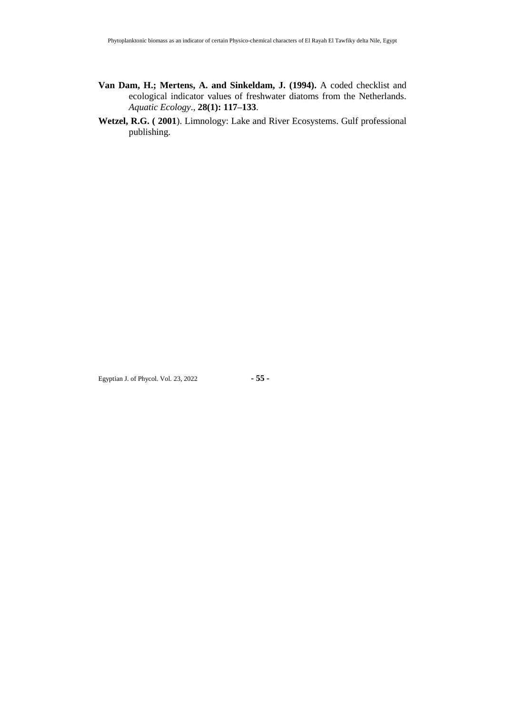- **Van Dam, H.; Mertens, A. and Sinkeldam, J. (1994).** A coded checklist and ecological indicator values of freshwater diatoms from the Netherlands. *Aquatic Ecology*., **28(1): 117–133**.
- **Wetzel, R.G. ( 2001**). Limnology: Lake and River Ecosystems. Gulf professional publishing.

Egyptian J. of Phycol. Vol. 23, 2022 **- 55 -**